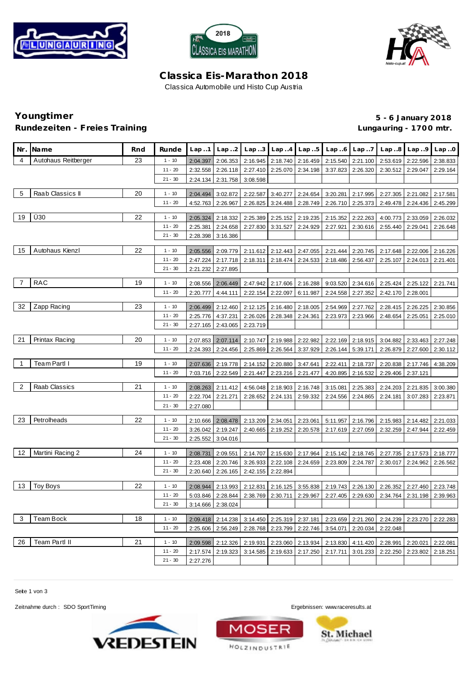





## **C lassica Eis-Marathon 2018** Classica Automobile und Histo Cup Austria

# **Rundezeiten - Freies Training Lungauring - 170 0 mtr.**

**Youngtimer 5 - 6 January 2018**

| Nr.            | <b>Name</b>         | Rnd | Runde     | Lap.1                | Lap.2             |                   |                   | Lap3 Lap4 Lap5    |                            | $Lap.6$ $Lap.7$   | Lap.8    | Lap.9    | Lap.0    |
|----------------|---------------------|-----|-----------|----------------------|-------------------|-------------------|-------------------|-------------------|----------------------------|-------------------|----------|----------|----------|
| 4              | Autohaus Reitberger | 23  | $1 - 10$  | 2:04.397             | 2:06.353          | 2:16.945          | 2:18.740          | 2:16.459          | 2:15.540                   | 2:21.100          | 2:53.619 | 2:22.596 | 2:38.833 |
|                |                     |     | $11 - 20$ | 2:32.558             | 2:26.118          | 2:27.410          | 2:25.070          | 2:34.198          | 3:37.823                   | 2:26.320          | 2:30.512 | 2:29.047 | 2:29.164 |
|                |                     |     | $21 - 30$ | 2:24.134             | 2:31.758          | 3:08.598          |                   |                   |                            |                   |          |          |          |
| 5              | Raab Classics II    | 20  | $1 - 10$  |                      |                   |                   |                   |                   |                            |                   |          |          |          |
|                |                     |     | $11 - 20$ | 2:04.494<br>4:52.763 | 3:02.872          | 2:22.587          | 3:40.277          | 2:24.654          | 3:20.281                   | 2:17.995          | 2:27.305 | 2:21.082 | 2:17.581 |
|                |                     |     |           |                      | 2:26.967          | 2:26.825          |                   | 3:24.488 2:28.749 | 2:26.710                   | 2:25.373          | 2:49.478 | 2:24.436 | 2:45.299 |
| 19             | Ü30                 | 22  | $1 - 10$  | 2:05.324             | 2:18.332          | 2:25.389          | 2:25.152          | 2:19.235          | 2:15.352                   | 2:22.263          | 4:00.773 | 2:33.059 | 2:26.032 |
|                |                     |     | $11 - 20$ | 2:25.381             | 2:24.658          | 2:27.830          | 3:31.527          | 2:24.929          | 2:27.921                   | 2:30.616          | 2:55.440 | 2:29.041 | 2:26.648 |
|                |                     |     | $21 - 30$ | 2:28.398             | 3:16.386          |                   |                   |                   |                            |                   |          |          |          |
|                |                     |     |           |                      |                   |                   |                   |                   |                            |                   |          |          |          |
| 15             | Autohaus Kienzl     | 22  | $1 - 10$  | 2:05.556             | 2:09.779          | 2:11.612          | 2:12.443          | 2:47.055          | 2:21.444                   | 2:20.745          | 2:17.648 | 2:22.006 | 2:16.226 |
|                |                     |     | $11 - 20$ | 2:47.224             | 2:17.718          | 2:18.311          | 2:18.474          | 2:24.533          | 2:18.486                   | 2:56.437          | 2:25.107 | 2:24.013 | 2:21.401 |
|                |                     |     | $21 - 30$ | 2:21.232             | 2:27.895          |                   |                   |                   |                            |                   |          |          |          |
| 7              | <b>RAC</b>          | 19  | $1 - 10$  | 2:08.556             | 2:06.449          | 2:47.942          | 2:17.606          | 2:16.288          | 9:03.520                   | 2:34.616          | 2:25.424 | 2:25.122 | 2:21.741 |
|                |                     |     | $11 - 20$ | 2:20.777             | 4:44.111          | 2:22.154          | 2:22.097          | 6:11.987          | 2:24.558                   | 2:27.352          | 2:42.170 | 2:28.001 |          |
|                |                     |     |           |                      |                   |                   |                   |                   |                            |                   |          |          |          |
| 32             | Zapp Racing         | 23  | $1 - 10$  | 2:06.499             | 2:12.460          | 2:12.125          | 2:16.480          | 2:18.005          | 2:54.969                   | 2:27.762          | 2:28.415 | 2:26.225 | 2:30.856 |
|                |                     |     | $11 - 20$ | 2:25.776             | 4:37.231          | 2:26.026          | 2:28.348          | 2:24.361          | 2:23.973                   | 2:23.966          | 2:48.654 | 2:25.051 | 2:25.010 |
|                |                     |     | $21 - 30$ | 2:27.165             | 2:43.065          | 2:23.719          |                   |                   |                            |                   |          |          |          |
| 21             | Printax Racing      | 20  | $1 - 10$  | 2:07.853             | 2:07.114          | 2:10.747          | 2:19.988          | 2:22.982          |                            | 2:22.169 2:18.915 | 3:04.882 | 2:33.463 | 2:27.248 |
|                |                     |     | $11 - 20$ | 2:24.393             | 2:24.456          | 2:25.869          | 2:26.564          | 3:37.929          |                            | 2:26.144 5:39.171 | 2:26.879 | 2:27.600 | 2:30.112 |
|                |                     |     |           |                      |                   |                   |                   |                   |                            |                   |          |          |          |
| $\overline{1}$ | Team Partl I        | 19  | $1 - 10$  | 2:07.636             | 2:19.778          | 2:14.152          | 2:20.880          | 3:47.641          | 2:22.411                   | 2:18.737          | 2:20.838 | 2:17.746 | 4:38.209 |
|                |                     |     | $11 - 20$ | 7:03.716             | 2:22.549          | 2:21.447          |                   | 2:23.216 2:21.477 | 4:20.895                   | 2:16.532          | 2:29.406 | 2:37.121 |          |
| $\overline{2}$ | Raab Classics       | 21  | $1 - 10$  | 2:08.263             | 2:11.412          |                   | 4:56.048 2:18.903 | 2:16.748          | 3:15.081                   | 2:25.383          | 2:24.203 | 2:21.835 | 3:00.380 |
|                |                     |     | $11 - 20$ | 2:22.704             | 2:21.271          | 2:28.652          | 2:24.131          | 2:59.332          | 2:24.556                   | 2:24.865          | 2:24.181 | 3:07.283 | 2:23.871 |
|                |                     |     | $21 - 30$ | 2:27.080             |                   |                   |                   |                   |                            |                   |          |          |          |
|                |                     |     |           |                      |                   |                   |                   |                   |                            |                   |          |          |          |
| 23             | Petrolheads         | 22  | $1 - 10$  | 2:10.666             | 2:08.478          | 2:13.209          | 2:34.051          | 2:23.061          | 5:11.957                   | 2:16.796          | 2:15.983 | 2:14.482 | 2:21.033 |
|                |                     |     | $11 - 20$ | 3:26.042             | 2:19.247          | 2:40.665          | 2:19.252          | 2:20.578          | 2:17.619                   | 2:27.059          | 2:32.259 | 2:47.944 | 2:22.459 |
|                |                     |     | $21 - 30$ | 2:25.552             | 3:04.016          |                   |                   |                   |                            |                   |          |          |          |
| 12             | Martini Racing 2    | 24  | $1 - 10$  | 2:08.731             | 2:09.551          | 2:14.707          | 2:15.630          | 2:17.964          | 2:15.142                   | 2:18.745          | 2:27.735 | 2:17.573 | 2:18.777 |
|                |                     |     | $11 - 20$ | 2:23.408             | 2:20.746          | 3:26.933          | 2:22.108          |                   | 2:24.659 2:23.809 2:24.787 |                   | 2:30.017 | 2:24.962 | 2:26.562 |
|                |                     |     | $21 - 30$ | 2:20.640             | 2:26.165          | 2:42.155 2:22.894 |                   |                   |                            |                   |          |          |          |
|                |                     |     |           |                      |                   |                   |                   |                   |                            |                   |          |          |          |
| 13             | Toy Boys            | 22  | $1 - 10$  | 2:08.944             | 2:13.993          | 2:12.831          | 2:16.125          | 3:55.838          |                            | 2:19.743 2:26.130 | 2:26.352 | 2:27.460 | 2:23.748 |
|                |                     |     | $11 - 20$ | 5:03.846             | 2:28.844          | 2:38.769          | 2:30.711          | 2:29.967          |                            | 2:27.405 2:29.630 | 2:34.764 | 2:31.198 | 2:39.963 |
|                |                     |     | $21 - 30$ |                      | 3:14.666 2:38.024 |                   |                   |                   |                            |                   |          |          |          |
| 3              | Team Bock           | 18  | $1 - 10$  | 2:09.418             | 2:14.238          |                   | 3:14.450 2:25.319 | 2:37.181          |                            | 2:23.659 2:21.260 | 2:24.239 | 2:23.270 | 2:22.283 |
|                |                     |     | $11 - 20$ | 2:25.606             | 2:56.249          | 2:28.768          | 2:23.799          | 2:22.746          | 3:54.071                   | 2:20.034          | 2:22.048 |          |          |
|                |                     |     |           |                      |                   |                   |                   |                   |                            |                   |          |          |          |
| 26             | Team Partl II       | 21  | $1 - 10$  | 2:09.598             | 2:12.326          | 2:19.931          | 2:23.060          | 2:13.934          | 2:13.830                   | 4:11.420          | 2:28.991 | 2:20.021 | 2:22.081 |
|                |                     |     | $11 - 20$ | 2:17.574             | 2:19.323          | 3:14.585          | 2:19.633          | 2:17.250          | 2:17.711                   | 3:01.233          | 2:22.250 | 2:23.802 | 2:18.251 |
|                |                     |     | $21 - 30$ | 2:27.276             |                   |                   |                   |                   |                            |                   |          |          |          |

Seite 1 von 3

Zeitnahme durch : SDO SportTiming Ergebnissen: <www.raceresults.at>





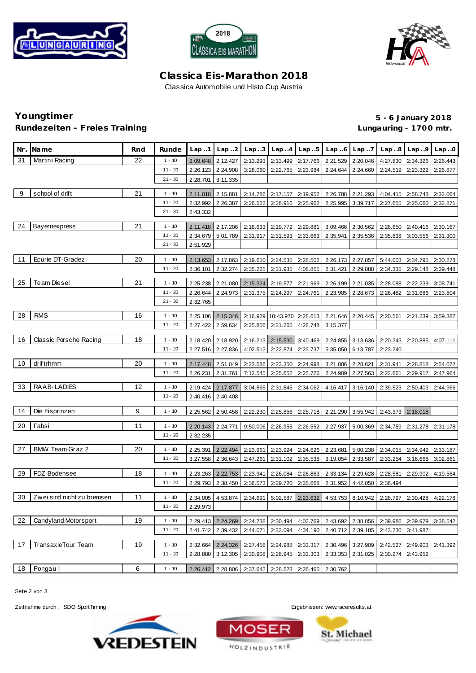





## **C lassica Eis-Marathon 2018** Classica Automobile und Histo Cup Austria

# **Rundezeiten - Freies Training Lungauring - 170 0 mtr.**

**Youngtimer 5 - 6 January 2018**

|    | Nr. Name                   | Rnd | Runde     | Lap.1    | Lap.2             |                                                       |                   | Lap .3 Lap .4 Lap .5       |                                                       | $Lap.6$ $Lap.7$   |                                                                                           | $Lap.8$ $Lap.9$ $Lap.0$ |          |
|----|----------------------------|-----|-----------|----------|-------------------|-------------------------------------------------------|-------------------|----------------------------|-------------------------------------------------------|-------------------|-------------------------------------------------------------------------------------------|-------------------------|----------|
| 31 | Martini Racing             | 22  | $1 - 10$  | 2:09.648 | 2:12.427          | 2:13.293                                              | 2:13.499          |                            | 2:17.766 2:21.529                                     | 2:20.046          | 4:27.830                                                                                  | 2:34.326                | 2:26.443 |
|    |                            |     | $11 - 20$ | 2:26.123 | 2:24.908          | 3:28.060                                              | 2:22.765          | 2:23.984                   | 2:24.644                                              | 2:24.660          | 2:24.519                                                                                  | 2:23.322                | 2:26.877 |
|    |                            |     | $21 - 30$ | 2:28.701 | 3:11.335          |                                                       |                   |                            |                                                       |                   |                                                                                           |                         |          |
|    |                            |     |           |          |                   |                                                       |                   |                            |                                                       |                   |                                                                                           |                         |          |
| 9  | school of drift            | 21  | $1 - 10$  | 2:11.018 | 2:15.881          | 2:14.786                                              | 2:17.157          | 2:19.952                   | 2:26.788                                              | 2:21.293          | 4:04.415                                                                                  | 2:58.743                | 2:32.064 |
|    |                            |     | $11 - 20$ | 2:32.992 | 2:26.387          | 2:26.522                                              |                   | 2:26.916 2:25.962          | 2:25.995                                              | 3:39.717          | 2:27.655                                                                                  | 2:25.060                | 2:32.871 |
|    |                            |     | $21 - 30$ | 2:43.332 |                   |                                                       |                   |                            |                                                       |                   |                                                                                           |                         |          |
| 24 | <b>Bayernexpress</b>       | 21  | $1 - 10$  | 2:11.418 | 2:17.206          |                                                       | 2:18.633 2:19.772 | 2:29.881                   | 3:09.466                                              | 2:30.562          | 2:28.650                                                                                  | 2:40.416                | 2:30.167 |
|    |                            |     | $11 - 20$ | 2:34.679 | 5:01.789          | 2:31.917                                              | 2:31.593          | 2:33.663                   | 2:35.941                                              | 2:35.536          | 2:35.838                                                                                  | 3:03.556                | 2:31.300 |
|    |                            |     | $21 - 30$ | 2:51.929 |                   |                                                       |                   |                            |                                                       |                   |                                                                                           |                         |          |
|    |                            |     |           |          |                   |                                                       |                   |                            |                                                       |                   |                                                                                           |                         |          |
| 11 | Ecurie DT-Gradez           | 20  | $1 - 10$  | 2:13.653 | 2:17.863          | 2:19.610                                              | 2:24.535          | 2:28.502                   | 2:26.173                                              | 2:27.857          | 5:44.003                                                                                  | 2:34.795                | 2:30.278 |
|    |                            |     | $11 - 20$ | 2:36.101 | 2:32.274          | 2:35.225                                              | 2:31.935          | 4:08.851                   | 2:31.421                                              | 2:29.888          | 2:34.335                                                                                  | 2:29.148                | 2:39.448 |
| 25 | <b>Team Diesel</b>         | 21  | $1 - 10$  |          |                   |                                                       |                   |                            |                                                       |                   |                                                                                           |                         |          |
|    |                            |     |           | 2:25.238 | 2:21.080          | 2:15.324                                              | 2:19.577          | 2:21.969                   | 2:26.199                                              | 2:21.035          | 2:28.088                                                                                  | 2:22.239                | 3:08.741 |
|    |                            |     | $11 - 20$ | 2:26.644 | 2:24.973          | 2:31.375                                              | 2:24.297          | 2:24.761                   | 2:23.985                                              | 2:28.673          | 2:26.482                                                                                  | 2:31.686                | 2:23.804 |
|    |                            |     | $21 - 30$ | 2:32.765 |                   |                                                       |                   |                            |                                                       |                   |                                                                                           |                         |          |
| 28 | <b>RMS</b>                 | 16  | $1 - 10$  | 2:25.106 | 2:15.346          |                                                       |                   |                            | 2:16.929   10:43.970   2:28.613   2:21.646   2:20.445 |                   | 2:20.561                                                                                  | 2:21.239                | 3:59.387 |
|    |                            |     | $11 - 20$ | 2:27.422 | 2:59.634          |                                                       | 2:25.856 2:31.265 | 4:28.748                   | 3:15.377                                              |                   |                                                                                           |                         |          |
|    |                            |     |           |          |                   |                                                       |                   |                            |                                                       |                   |                                                                                           |                         |          |
| 16 | Classic Porsche Racing     | 18  | $1 - 10$  | 2:18.420 | 2:18.920          |                                                       |                   | 2:16.213 2:15.530 3:40.469 | 2:24.855                                              | 3:13.636          | 2:20.243                                                                                  | 2:20.885                | 4:07.111 |
|    |                            |     | $11 - 20$ | 2:27.516 | 2:27.836          | 4:02.512                                              | 2:22.874          | 2:23.737                   | 5:35.050                                              | 6:13.787          | 2:23.240                                                                                  |                         |          |
| 10 | drif trhmm                 | 20  | $1 - 10$  | 2:17.448 | 2:51.049          | 2:23.586                                              | 2:23.350          | 2:24.998                   | 3:21.806                                              | 2:28.621          | 2:31.941                                                                                  | 2:28.818                | 2:54.072 |
|    |                            |     | $11 - 20$ | 2:26.231 | 2:31.761          | 7:12.545                                              | 2:25.652          | 2:25.726                   | 2:24.909                                              | 2:27.563          | 2:22.661                                                                                  | 2:29.917                | 2:47.964 |
|    |                            |     |           |          |                   |                                                       |                   |                            |                                                       |                   |                                                                                           |                         |          |
| 33 | RAAB-LADIES                | 12  | $1 - 10$  | 2:19.424 | 2:17.877          | 3:04.865                                              | 2:31.845          | 2:34.062                   | 4:16.417                                              | 3:16.140          | 2:39.523                                                                                  | 2:50.403                | 2:44.966 |
|    |                            |     | $11 - 20$ | 2:40.416 | 2:40.408          |                                                       |                   |                            |                                                       |                   |                                                                                           |                         |          |
|    |                            |     |           |          |                   |                                                       |                   |                            |                                                       |                   |                                                                                           |                         |          |
| 14 | Die Eisprinzen             | 9   | $1 - 10$  | 2:25.562 | 2:50.458          |                                                       |                   | 2:22.230 2:25.856 2:25.718 | 2:21.290                                              | 3:55.942          |                                                                                           | 2:43.373 2:18.018       |          |
| 20 | Fabsi                      | 11  | $1 - 10$  | 2:20.143 | 2:24.771          | 9:50.006                                              | 2:26.955          | 2:26.552                   | 2:27.937                                              | 5:00.369          | 2:34.759                                                                                  | 2:31.278                | 2:31.178 |
|    |                            |     | $11 - 20$ | 2:32.235 |                   |                                                       |                   |                            |                                                       |                   |                                                                                           |                         |          |
|    |                            |     |           |          |                   |                                                       |                   |                            |                                                       |                   |                                                                                           |                         |          |
| 27 | BMW Team Graz 2            | 20  | $1 - 10$  | 2:25.391 | 2:22.494          | 2:23.961                                              | 2:23.924          | 2:24.626                   | 2:23.681                                              | 5:00.238          | 2:34.015                                                                                  | 2:34.942                | 2:33.187 |
|    |                            |     | $11 - 20$ | 3:27.558 | 2:36.643          | 2:47.261                                              | 2:31.102          | 2:35.538                   | 3:19.054                                              | 2:33.587          | 2:33.254                                                                                  | 3:16.668                | 3:02.861 |
| 29 | FDZ Bodensee               | 18  | $1 - 10$  | 2:23.263 | 2:22.753          | 2:23.941                                              | 2:26.084          | 2:26.863                   | 2:33.134                                              | 2:29.628          | 2:28.581                                                                                  | 2:29.902                | 4:19.564 |
|    |                            |     | $11 - 20$ | 2:29.793 | 2:38.450          | 2:36.573                                              | 2:29.720          | 2:35.668                   | 2:31.952                                              | 4:42.050          | 2:36.494                                                                                  |                         |          |
|    |                            |     |           |          |                   |                                                       |                   |                            |                                                       |                   |                                                                                           |                         |          |
| 30 | Zwei sind nicht zu bremsen | 11  | $1 - 10$  |          |                   |                                                       |                   |                            |                                                       |                   | 2:34.005 4:53.874 2:34.691 5:02.587 2:23.632 4:53.753 8:10.942 2:28.797 2:30.428 4:22.178 |                         |          |
|    |                            |     | $11 - 20$ | 2:29.973 |                   |                                                       |                   |                            |                                                       |                   |                                                                                           |                         |          |
|    |                            |     |           |          |                   |                                                       |                   |                            |                                                       |                   |                                                                                           |                         |          |
| 22 | Candyland Motorsport       | 19  | $1 - 10$  |          | 2:29.413 2:24.269 |                                                       |                   | 2:24.738 2:30.494 4:02.769 |                                                       | 2:43.692 2:38.856 | 2:39.986                                                                                  | 2:39.979                | 3:38.542 |
|    |                            |     | $11 - 20$ | 2:41.742 | 2:39.432          | 2:44.071                                              | 2:33.094          | 4:34.190                   | 2:40.712                                              | 2:39.185          | 2:43.730                                                                                  | 3:41.987                |          |
| 17 | <b>TransaxleTour Team</b>  | 19  | $1 - 10$  | 2:32.664 | 2:24.326          |                                                       |                   | 2:27.458 2:24.988 2:33.317 | 2:30.496                                              | 3:27.909          | 2:42.527                                                                                  | 2:49.903                | 2:41.392 |
|    |                            |     | $11 - 20$ | 2:28.880 | 3:12.305          |                                                       |                   | 2:30.908 2:26.945 2:33.303 | 2:33.353 2:31.025                                     |                   | 2:30.274                                                                                  | 2:43.952                |          |
|    |                            |     |           |          |                   |                                                       |                   |                            |                                                       |                   |                                                                                           |                         |          |
| 18 | Pongau I                   | 6   | $1 - 10$  |          |                   | 2:26.412 2:28.806 2:37.642 2:28.523 2:26.465 2:30.762 |                   |                            |                                                       |                   |                                                                                           |                         |          |

Seite 2 von 3

Zeitnahme durch : SDO SportTiming Ergebnissen:<www.raceresults.at>